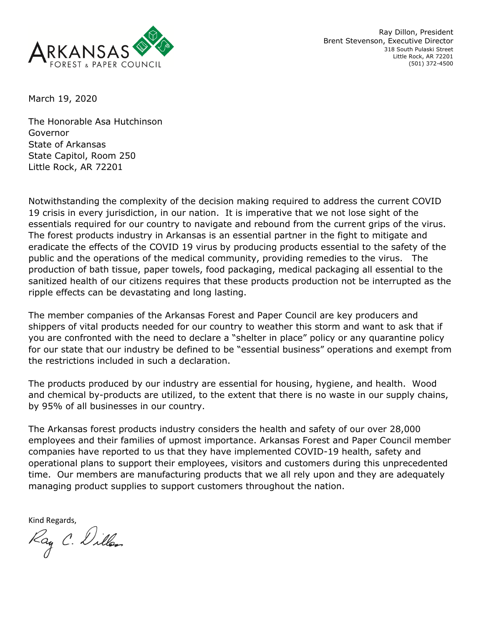

Ray Dillon, President Brent Stevenson, Executive Director 318 South Pulaski Street Little Rock, AR 72201 (501) 372-4500

March 19, 2020

The Honorable Asa Hutchinson Governor State of Arkansas State Capitol, Room 250 Little Rock, AR 72201

Notwithstanding the complexity of the decision making required to address the current COVID 19 crisis in every jurisdiction, in our nation. It is imperative that we not lose sight of the essentials required for our country to navigate and rebound from the current grips of the virus. The forest products industry in Arkansas is an essential partner in the fight to mitigate and eradicate the effects of the COVID 19 virus by producing products essential to the safety of the public and the operations of the medical community, providing remedies to the virus. The production of bath tissue, paper towels, food packaging, medical packaging all essential to the sanitized health of our citizens requires that these products production not be interrupted as the ripple effects can be devastating and long lasting.

The member companies of the Arkansas Forest and Paper Council are key producers and shippers of vital products needed for our country to weather this storm and want to ask that if you are confronted with the need to declare a "shelter in place" policy or any quarantine policy for our state that our industry be defined to be "essential business" operations and exempt from the restrictions included in such a declaration.

The products produced by our industry are essential for housing, hygiene, and health. Wood and chemical by-products are utilized, to the extent that there is no waste in our supply chains, by 95% of all businesses in our country.

The Arkansas forest products industry considers the health and safety of our over 28,000 employees and their families of upmost importance. Arkansas Forest and Paper Council member companies have reported to us that they have implemented COVID-19 health, safety and operational plans to support their employees, visitors and customers during this unprecedented time. Our members are manufacturing products that we all rely upon and they are adequately managing product supplies to support customers throughout the nation.

Kind Regards,<br>Kay C. Dillen